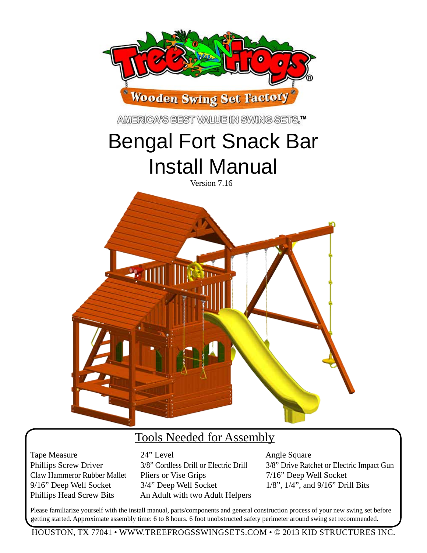

### Tools Needed for Assembly

Tape Measure 24" Level Angle Square Claw Hammeror Rubber Mallet Pliers or Vise Grips 7/16" Deep Well Socket 9/16" Deep Well Socket 3/4" Deep Well Socket 1/8", 1/4", and 9/16" Drill Bits Phillips Head Screw Bits An Adult with two Adult Helpers

Phillips Screw Driver 3/8" Cordless Drill or Electric Drill 3/8" Drive Ratchet or Electric Impact Gun

Please familiarize yourself with the install manual, parts/components and general construction process of your new swing set before getting started. Approximate assembly time: 6 to 8 hours. 6 foot unobstructed safety perimeter around swing set recommended.

HOUSTON, TX 77041 • WWW.TREEFROGSSWINGSETS.COM • © 2013 KID STRUCTURES INC.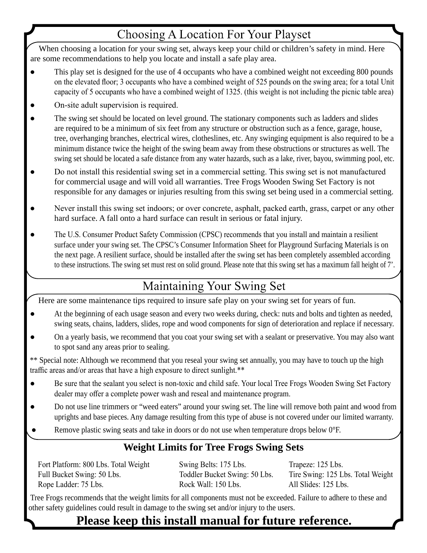## **Choosing A Location For Your Playset**

When choosing a location for your swing set, always keep your child or children's safety in mind. Here are some recommendations to help you locate and install a safe play area.

- This play set is designed for the use of 4 occupants who have a combined weight not exceeding 800 pounds on the elevated floor; 3 occupants who have a combined weight of 525 pounds on the swing area; for a total Unit capacity of 5 occupants who have a combined weight of 1325. (this weight is not including the picnic table area)
- On-site adult supervision is required.
- The swing set should be located on level ground. The stationary components such as ladders and slides are required to be a minimum of six feet from any structure or obstruction such as a fence, garage, house, tree, overhanging branches, electrical wires, clotheslines, etc. Any swinging equipment is also required to be a minimum distance twice the height of the swing beam away from these obstructions or structures as well. The swing set should be located a safe distance from any water hazards, such as a lake, river, bayou, swimming pool, etc.
- Do not install this residential swing set in a commercial setting. This swing set is not manufactured for commercial usage and will void all warranties. Tree Frogs Wooden Swing Set Factory is not responsible for any damages or injuries resulting from this swing set being used in a commercial setting.
- Never install this swing set indoors; or over concrete, asphalt, packed earth, grass, carpet or any other hard surface. A fall onto a hard surface can result in serious or fatal injury.
- The U.S. Consumer Product Safety Commission (CPSC) recommends that you install and maintain a resilient surface under your swing set. The CPSC's Consumer Information Sheet for Playground Surfacing Materials is on the next page. A resilient surface, should be installed after the swing set has been completely assembled according to these instructions. The swing set must rest on solid ground. Please note that this swing set has a maximum fall height of 7'.

## Maintaining Your Swing Set

Here are some maintenance tips required to insure safe play on your swing set for years of fun.

- At the beginning of each usage season and every two weeks during, check: nuts and bolts and tighten as needed, swing seats, chains, ladders, slides, rope and wood components for sign of deterioration and replace if necessary.
- On a yearly basis, we recommend that you coat your swing set with a sealant or preservative. You may also want to spot sand any areas prior to sealing.

\*\* Special note: Although we recommend that you reseal your swing set annually, you may have to touch up the high traffic areas and/or areas that have a high exposure to direct sunlight.\*\*

- Be sure that the sealant you select is non-toxic and child safe. Your local Tree Frogs Wooden Swing Set Factory dealer may offer a complete power wash and reseal and maintenance program.
- Do not use line trimmers or "weed eaters" around your swing set. The line will remove both paint and wood from uprights and base pieces. Any damage resulting from this type of abuse is not covered under our limited warranty.
- Remove plastic swing seats and take in doors or do not use when temperature drops below  $0^{\circ}$ F.

### **Weight Limits for Tree Frogs Swing Sets**

Fort Platform: 800 Lbs. Total Weight Swing Belts: 175 Lbs. Trapeze: 125 Lbs. Full Bucket Swing: 50 Lbs. Toddler Bucket Swing: 50 Lbs. Tire Swing: 125 Lbs. Total Weight Rope Ladder: 75 Lbs. Rock Wall: 150 Lbs. All Slides: 125 Lbs.

 Tree Frogs recommends that the weight limits for all components must not be exceeded. Failure to adhere to these and other safety guidelines could result in damage to the swing set and/or injury to the users.

## **Please keep this install manual for future reference.**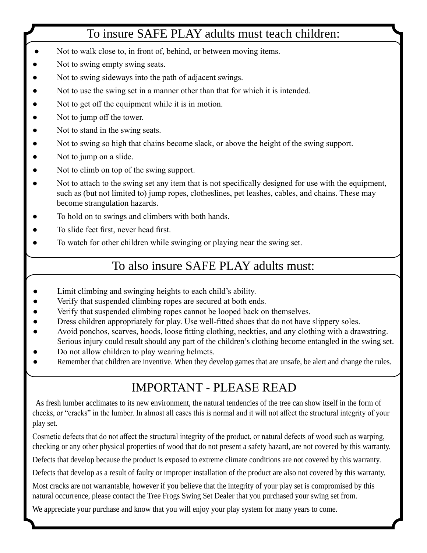## To insure SAFE PLAY adults must teach children:

- Not to walk close to, in front of, behind, or between moving items.
- Not to swing empty swing seats.
- Not to swing sideways into the path of adjacent swings.
- Not to use the swing set in a manner other than that for which it is intended.
- Not to get off the equipment while it is in motion.
- Not to jump off the tower.
- Not to stand in the swing seats.
- Not to swing so high that chains become slack, or above the height of the swing support.
- Not to jump on a slide.
- Not to climb on top of the swing support.
- Not to attach to the swing set any item that is not specifically designed for use with the equipment, such as (but not limited to) jump ropes, clotheslines, pet leashes, cables, and chains. These may become strangulation hazards.
- To hold on to swings and climbers with both hands.
- To slide feet first, never head first.
- To watch for other children while swinging or playing near the swing set.

## To also insure SAFE PLAY adults must:

- Limit climbing and swinging heights to each child's ability.
- Verify that suspended climbing ropes are secured at both ends.
- Verify that suspended climbing ropes cannot be looped back on themselves.
- Dress children appropriately for play. Use well-fitted shoes that do not have slippery soles.
- Avoid ponchos, scarves, hoods, loose fitting clothing, neckties, and any clothing with a drawstring. Serious injury could result should any part of the children's clothing become entangled in the swing set.
- Do not allow children to play wearing helmets.
- Remember that children are inventive. When they develop games that are unsafe, be alert and change the rules.

## IMPORTANT - PLEASE READ

As fresh lumber acclimates to its new environment, the natural tendencies of the tree can show itself in the form of checks, or "cracks" in the lumber. In almost all cases this is normal and it will not affect the structural integrity of your play set.

Cosmetic defects that do not affect the structural integrity of the product, or natural defects of wood such as warping, checking or any other physical properties of wood that do not present a safety hazard, are not covered by this warranty.

Defects that develop because the product is exposed to extreme climate conditions are not covered by this warranty.

Defects that develop as a result of faulty or improper installation of the product are also not covered by this warranty.

Most cracks are not warrantable, however if you believe that the integrity of your play set is compromised by this natural occurrence, please contact the Tree Frogs Swing Set Dealer that you purchased your swing set from.

We appreciate your purchase and know that you will enjoy your play system for many years to come.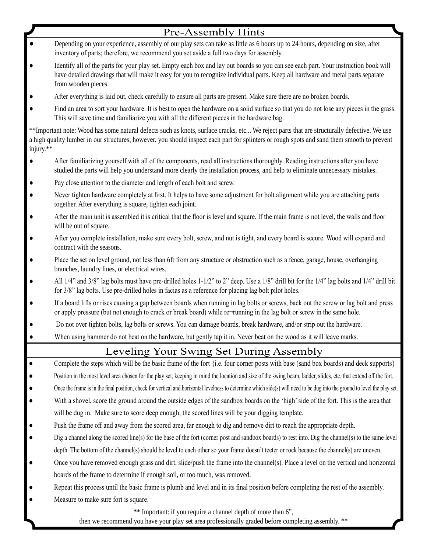|           | <b>Pre-Assembly Hints</b>                                                                                                                                                                                                                                                                     |
|-----------|-----------------------------------------------------------------------------------------------------------------------------------------------------------------------------------------------------------------------------------------------------------------------------------------------|
|           | Depending on your experience, assembly of our play sets can take as little as 6 hours up to 24 hours, depending on size, after<br>inventory of parts; therefore, we recommend you set aside a full two days for assembly.                                                                     |
|           | Identify all of the parts for your play set. Empty each box and lay out boards so you can see each part. Your instruction book will<br>have detailed drawings that will make it easy for you to recognize individual parts. Keep all hardware and metal parts separate<br>from wooden pieces. |
| ٠         | After everything is laid out, check carefully to ensure all parts are present. Make sure there are no broken boards.                                                                                                                                                                          |
|           | Find an area to sort your hardware. It is best to open the hardware on a solid surface so that you do not lose any pieces in the grass.<br>This will save time and familiarize you with all the different pieces in the hardware bag.                                                         |
| injury.** | ** Important note: Wood has some natural defects such as knots, surface cracks, etc We reject parts that are structurally defective. We use<br>a high quality lumber in our structures; however, you should inspect each part for splinters or rough spots and sand them smooth to prevent    |
|           | After familiarizing yourself with all of the components, read all instructions thoroughly. Reading instructions after you have<br>studied the parts will help you understand more clearly the installation process, and help to eliminate unnecessary mistakes.                               |
|           | Pay close attention to the diameter and length of each bolt and screw.                                                                                                                                                                                                                        |
| ٠         | Never tighten hardware completely at first. It helps to have some adjustment for bolt alignment while you are attaching parts<br>together. After everything is square, tighten each joint.                                                                                                    |
| $\bullet$ | After the main unit is assembled it is critical that the floor is level and square. If the main frame is not level, the walls and floor<br>will be out of square.                                                                                                                             |
| $\bullet$ | After you complete installation, make sure every bolt, screw, and nut is tight, and every board is secure. Wood will expand and<br>contract with the seasons.                                                                                                                                 |
| $\bullet$ | Place the set on level ground, not less than 6ft from any structure or obstruction such as a fence, garage, house, overhanging<br>branches, laundry lines, or electrical wires.                                                                                                               |
| $\bullet$ | All 1/4" and 3/8" lag bolts must have pre-drilled holes 1-1/2" to 2" deep. Use a 1/8" drill bit for the 1/4" lag bolts and 1/4" drill bit<br>for 3/8" lag bolts. Use pre-drilled holes in facias as a reference for placing lag bolt pilot holes.                                             |
| ٠         | If a board lifts or rises causing a gap between boards when running in lag bolts or screws, back out the screw or lag bolt and press<br>or apply pressure (but not enough to crack or break board) while re-running in the lag bolt or screw in the same hole.                                |
| $\bullet$ | Do not over tighten bolts, lag bolts or screws. You can damage boards, break hardware, and/or strip out the hardware.                                                                                                                                                                         |
|           | When using hammer do not beat on the hardware, but gently tap it in. Never beat on the wood as it will leave marks.                                                                                                                                                                           |
|           | Leveling Your Swing Set During Assembly                                                                                                                                                                                                                                                       |
| $\bullet$ | Complete the steps which will be the basic frame of the fort {i.e. four corner posts with base (sand box boards) and deck supports}                                                                                                                                                           |
| $\bullet$ | Position in the most level area chosen for the play set, keeping in mind the location and size of the swing beam, ladder, slides, etc. that extend off the fort.                                                                                                                              |
|           | Once the frame is in the final position, check for vertical and horizontal levelness to determine which side(s) will need to be dug into the ground to level the play set.                                                                                                                    |
|           | With a shovel, score the ground around the outside edges of the sandbox boards on the 'high' side of the fort. This is the area that                                                                                                                                                          |
|           | will be dug in. Make sure to score deep enough; the scored lines will be your digging template.                                                                                                                                                                                               |
|           | Push the frame off and away from the scored area, far enough to dig and remove dirt to reach the appropriate depth.                                                                                                                                                                           |
|           | Dig a channel along the scored line(s) for the base of the fort (corner post and sandbox boards) to rest into. Dig the channel(s) to the same level                                                                                                                                           |
|           | depth. The bottom of the channel(s) should be level to each other so your frame doesn't teeter or rock because the channel(s) are uneven.                                                                                                                                                     |
|           | Once you have removed enough grass and dirt, slide/push the frame into the channel(s). Place a level on the vertical and horizontal                                                                                                                                                           |
|           | boards of the frame to determine if enough soil, or too much, was removed.                                                                                                                                                                                                                    |
|           | Repeat this process until the basic frame is plumb and level and in its final position before completing the rest of the assembly.                                                                                                                                                            |
|           | Measure to make sure fort is square.                                                                                                                                                                                                                                                          |
|           | ** Important: if you require a channel depth of more than 6",                                                                                                                                                                                                                                 |

then we recommend you have your play set area professionally graded before completing assembly. \*\*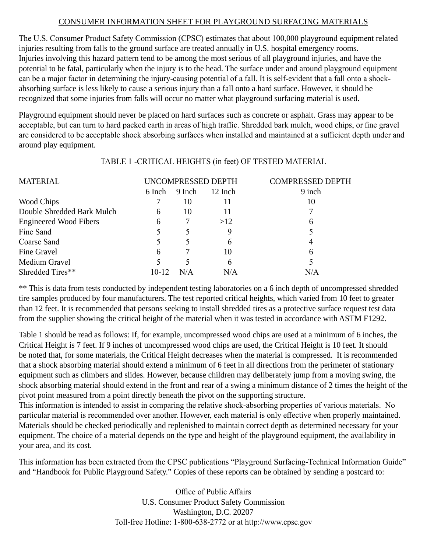#### CONSUMER INFORMATION SHEET FOR PLAYGROUND SURFACING MATERIALS

The U.S. Consumer Product Safety Commission (CPSC) estimates that about 100,000 playground equipment related injuries resulting from falls to the ground surface are treated annually in U.S. hospital emergency rooms. Injuries involving this hazard pattern tend to be among the most serious of all playground injuries, and have the potential to be fatal, particularly when the injury is to the head. The surface under and around playground equipment can be a major factor in determining the injury-causing potential of a fall. It is self-evident that a fall onto a shockabsorbing surface is less likely to cause a serious injury than a fall onto a hard surface. However, it should be recognized that some injuries from falls will occur no matter what playground surfacing material is used.

Playground equipment should never be placed on hard surfaces such as concrete or asphalt. Grass may appear to be acceptable, but can turn to hard packed earth in areas of high traffic. Shredded bark mulch, wood chips, or fine gravel are considered to be acceptable shock absorbing surfaces when installed and maintained at a sufficient depth under and around play equipment.

#### TABLE 1 -CRITICAL HEIGHTS (in feet) OF TESTED MATERIAL

| UNCOMPRESSED DEPTH |        |         | <b>COMPRESSED DEPTH</b> |
|--------------------|--------|---------|-------------------------|
| 6 Inch             | 9 Inch | 12 Inch | 9 inch                  |
|                    | 10     |         | 10                      |
| 6                  | 10     |         |                         |
| 6                  |        | >12     | 6                       |
|                    |        |         |                         |
|                    |        | n       |                         |
| 6                  |        | 10      | 6                       |
|                    |        | 6       |                         |
| 10-12              | N/A    | N/A     | N/A                     |
|                    |        |         |                         |

\*\* This is data from tests conducted by independent testing laboratories on a 6 inch depth of uncompressed shredded tire samples produced by four manufacturers. The test reported critical heights, which varied from 10 feet to greater than 12 feet. It is recommended that persons seeking to install shredded tires as a protective surface request test data from the supplier showing the critical height of the material when it was tested in accordance with ASTM F1292.

Table 1 should be read as follows: If, for example, uncompressed wood chips are used at a minimum of 6 inches, the Critical Height is 7 feet. If 9 inches of uncompressed wood chips are used, the Critical Height is 10 feet. It should be noted that, for some materials, the Critical Height decreases when the material is compressed. It is recommended that a shock absorbing material should extend a minimum of 6 feet in all directions from the perimeter of stationary equipment such as climbers and slides. However, because children may deliberately jump from a moving swing, the shock absorbing material should extend in the front and rear of a swing a minimum distance of 2 times the height of the pivot point measured from a point directly beneath the pivot on the supporting structure.

This information is intended to assist in comparing the relative shock-absorbing properties of various materials. No particular material is recommended over another. However, each material is only effective when properly maintained. Materials should be checked periodically and replenished to maintain correct depth as determined necessary for your equipment. The choice of a material depends on the type and height of the playground equipment, the availability in your area, and its cost.

This information has been extracted from the CPSC publications "Playground Surfacing-Technical Information Guide" and "Handbook for Public Playground Safety." Copies of these reports can be obtained by sending a postcard to:

> Office of Public Affairs U.S. Consumer Product Safety Commission Washington, D.C. 20207 Toll-free Hotline: 1-800-638-2772 or at http://www.cpsc.gov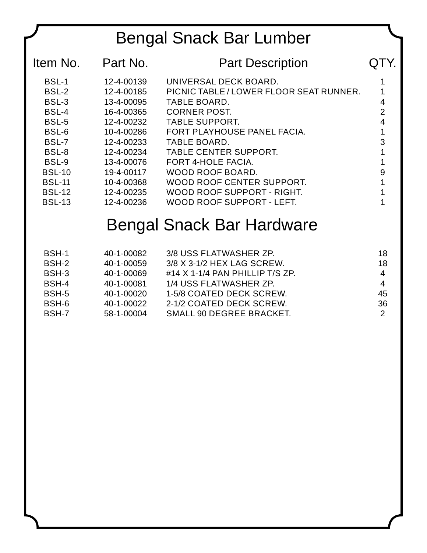# Bengal Snack Bar Lumber

| Item No.      | Part No.   | <b>Part Description</b>                 | IY. |
|---------------|------------|-----------------------------------------|-----|
| <b>BSL-1</b>  | 12-4-00139 | UNIVERSAL DECK BOARD.                   |     |
| BSL-2         | 12-4-00185 | PICNIC TABLE / LOWER FLOOR SEAT RUNNER. |     |
| BSL-3         | 13-4-00095 | TABLE BOARD.                            | 4   |
| BSL-4         | 16-4-00365 | <b>CORNER POST.</b>                     | 2   |
| BSL-5         | 12-4-00232 | <b>TABLE SUPPORT.</b>                   |     |
| BSL-6         | 10-4-00286 | FORT PLAYHOUSE PANEL FACIA.             |     |
| BSL-7         | 12-4-00233 | TABLE BOARD.                            | 3   |
| BSL-8         | 12-4-00234 | <b>TABLE CENTER SUPPORT.</b>            |     |
| BSL-9         | 13-4-00076 | <b>FORT 4-HOLE FACIA.</b>               |     |
| <b>BSL-10</b> | 19-4-00117 | WOOD ROOF BOARD.                        | 9   |
| <b>BSL-11</b> | 10-4-00368 | WOOD ROOF CENTER SUPPORT.               |     |
| <b>BSL-12</b> | 12-4-00235 | WOOD ROOF SUPPORT - RIGHT.              |     |
| <b>BSL-13</b> | 12-4-00236 | WOOD ROOF SUPPORT - LEFT.               |     |
|               |            |                                         |     |

# Bengal Snack Bar Hardware

| BSH-1 | 40-1-00082 | 3/8 USS FLATWASHER ZP.              | 18            |
|-------|------------|-------------------------------------|---------------|
| BSH-2 | 40-1-00059 | 3/8 X 3-1/2 HEX LAG SCREW.          | 18            |
| BSH-3 | 40-1-00069 | $\#$ 14 X 1-1/4 PAN PHILLIP T/S ZP. | 4             |
| BSH-4 | 40-1-00081 | 1/4 USS FLATWASHER ZP.              | 4             |
| BSH-5 | 40-1-00020 | 1-5/8 COATED DECK SCREW.            | 45            |
| BSH-6 | 40-1-00022 | 2-1/2 COATED DECK SCREW.            | 36            |
| BSH-7 | 58-1-00004 | <b>SMALL 90 DEGREE BRACKET.</b>     | $\mathcal{P}$ |
|       |            |                                     |               |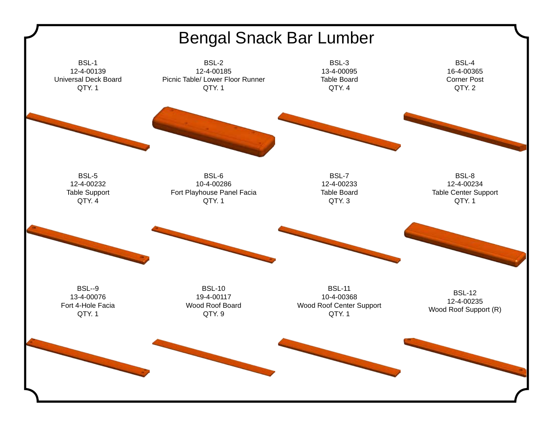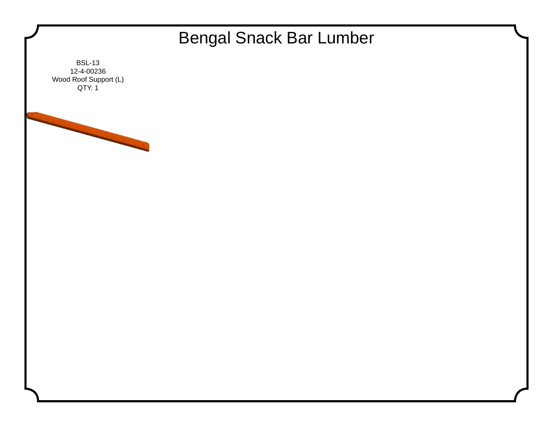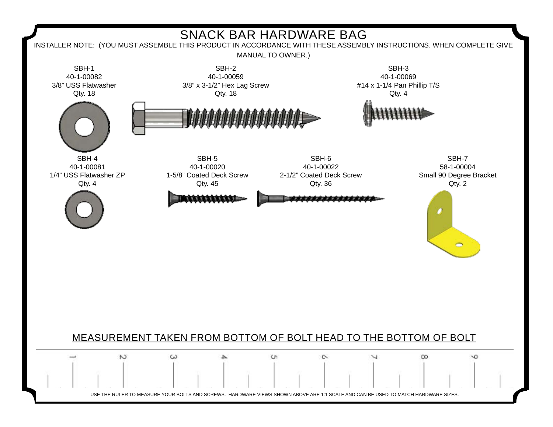

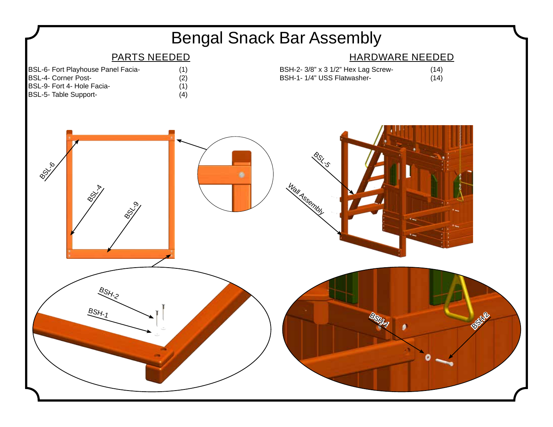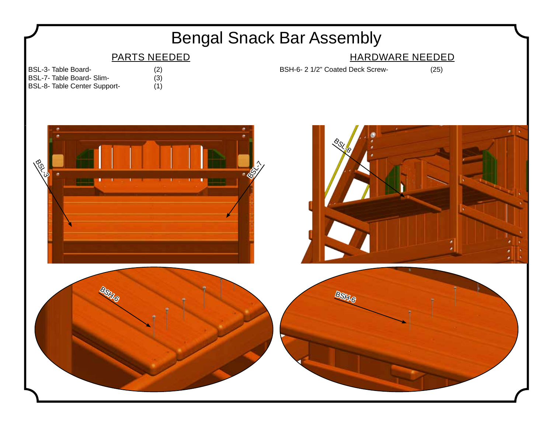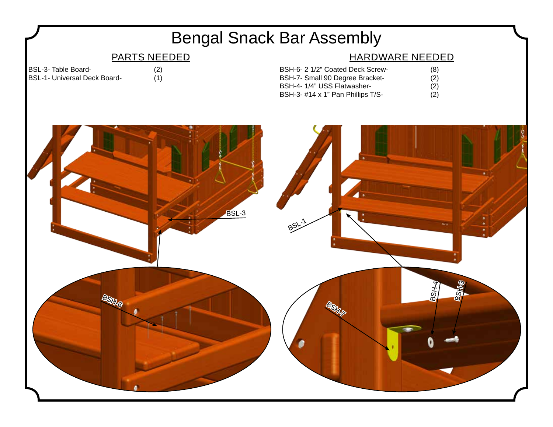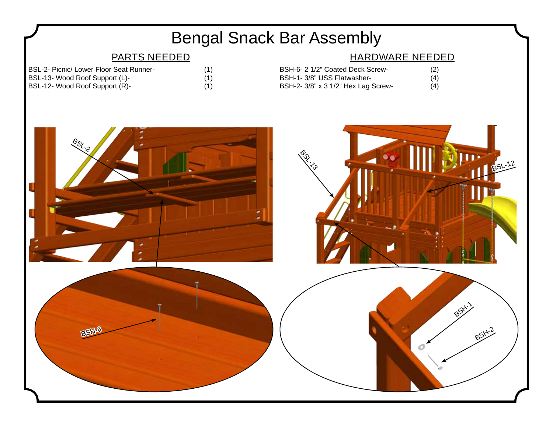# Bengal Snack Bar Assembly

## PARTS NEEDED

| <b>BSL-2- Picnic/ Lower Floor Seat Runner-</b> | (1) |
|------------------------------------------------|-----|
| BSL-13- Wood Roof Support (L)-                 | (1) |
| BSL-12- Wood Roof Support (R)-                 |     |

| I) |  |  |  |
|----|--|--|--|
| I) |  |  |  |
| I) |  |  |  |

## HARDWARE NEEDED

| BSH-6- 2 1/2" Coated Deck Screw-    | (2) |
|-------------------------------------|-----|
| BSH-1-3/8" USS Flatwasher-          | (4) |
| BSH-2- 3/8" x 3 1/2" Hex Lag Screw- | (4) |

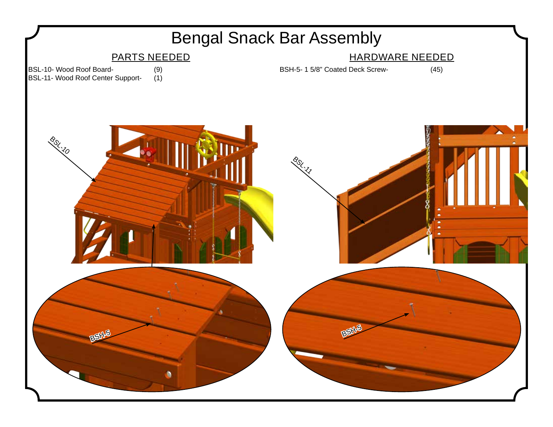